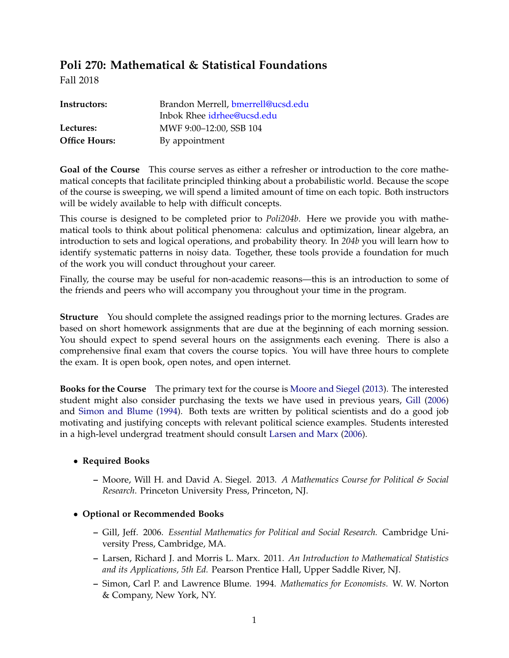# **Poli 270: Mathematical & Statistical Foundations**

Fall 2018

| Instructors:         | Brandon Merrell, bmerrell@ucsd.edu<br>Inbok Rhee idrhee@ucsd.edu |
|----------------------|------------------------------------------------------------------|
| Lectures:            | MWF 9:00-12:00, SSB 104                                          |
| <b>Office Hours:</b> | By appointment                                                   |

**Goal of the Course** This course serves as either a refresher or introduction to the core mathematical concepts that facilitate principled thinking about a probabilistic world. Because the scope of the course is sweeping, we will spend a limited amount of time on each topic. Both instructors will be widely available to help with difficult concepts.

This course is designed to be completed prior to *Poli204b*. Here we provide you with mathematical tools to think about political phenomena: calculus and optimization, linear algebra, an introduction to sets and logical operations, and probability theory. In *204b* you will learn how to identify systematic patterns in noisy data. Together, these tools provide a foundation for much of the work you will conduct throughout your career.

Finally, the course may be useful for non-academic reasons—this is an introduction to some of the friends and peers who will accompany you throughout your time in the program.

**Structure** You should complete the assigned readings prior to the morning lectures. Grades are based on short homework assignments that are due at the beginning of each morning session. You should expect to spend several hours on the assignments each evening. There is also a comprehensive final exam that covers the course topics. You will have three hours to complete the exam. It is open book, open notes, and open internet.

**Books for the Course** The primary text for the course is [Moore and Siegel](#page-3-0) [\(2013\)](#page-3-0). The interested student might also consider purchasing the texts we have used in previous years, [Gill](#page-3-1) [\(2006\)](#page-3-1) and [Simon and Blume](#page-3-2) [\(1994\)](#page-3-2). Both texts are written by political scientists and do a good job motivating and justifying concepts with relevant political science examples. Students interested in a high-level undergrad treatment should consult [Larsen and Marx](#page-3-3) [\(2006\)](#page-3-3).

## • **Required Books**

**–** Moore, Will H. and David A. Siegel. 2013. *A Mathematics Course for Political & Social Research*. Princeton University Press, Princeton, NJ.

## • **Optional or Recommended Books**

- **–** Gill, Jeff. 2006. *Essential Mathematics for Political and Social Research.* Cambridge University Press, Cambridge, MA.
- **–** Larsen, Richard J. and Morris L. Marx. 2011. *An Introduction to Mathematical Statistics and its Applications, 5th Ed.* Pearson Prentice Hall, Upper Saddle River, NJ.
- **–** Simon, Carl P. and Lawrence Blume. 1994. *Mathematics for Economists.* W. W. Norton & Company, New York, NY.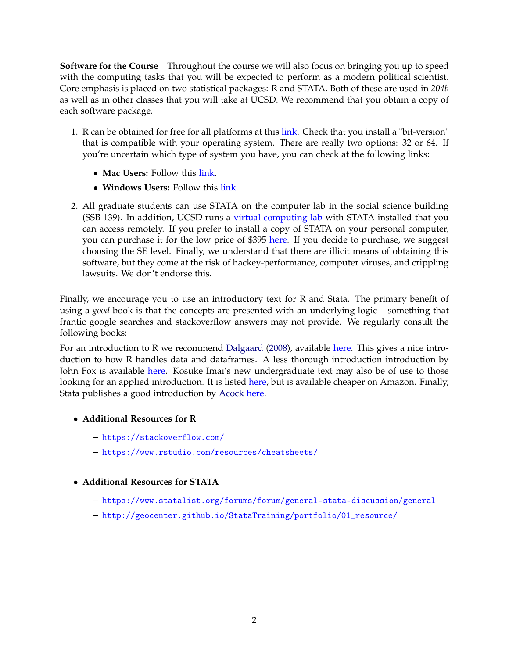**Software for the Course** Throughout the course we will also focus on bringing you up to speed with the computing tasks that you will be expected to perform as a modern political scientist. Core emphasis is placed on two statistical packages: R and STATA. Both of these are used in *204b* as well as in other classes that you will take at UCSD. We recommend that you obtain a copy of each software package.

- 1. R can be obtained for free for all platforms at this [link.](http://www.cran.r-project.org) Check that you install a "bit-version" that is compatible with your operating system. There are really two options: 32 or 64. If you're uncertain which type of system you have, you can check at the following links:
	- **Mac Users:** Follow this [link.](http://support.apple.com/kb/HT3696)
	- **Windows Users:** Follow this [link.](http://support.microsoft.com/kb/827218)
- 2. All graduate students can use STATA on the computer lab in the social science building (SSB 139). In addition, UCSD runs a [virtual computing lab](http://acms.ucsd.edu/students/VirtualLabsMain.html) with STATA installed that you can access remotely. If you prefer to install a copy of STATA on your personal computer, you can purchase it for the low price of \$395 [here.](http://www.stata.com/order/new/edu/gradplans/campus-gradplan/) If you decide to purchase, we suggest choosing the SE level. Finally, we understand that there are illicit means of obtaining this software, but they come at the risk of hackey-performance, computer viruses, and crippling lawsuits. We don't endorse this.

Finally, we encourage you to use an introductory text for R and Stata. The primary benefit of using a *good* book is that the concepts are presented with an underlying logic – something that frantic google searches and stackoverflow answers may not provide. We regularly consult the following books:

For an introduction to R we recommend [Dalgaard](#page-3-4) [\(2008\)](#page-3-4), available [here.](http://www.amazon.com/Introductory-Statistics-R-Computing/dp/0387790535/ref=sr_1_1?ie=UTF8&qid=1377105121&sr=8-1&keywords=introduction+to+statistics+with+r) This gives a nice introduction to how R handles data and dataframes. A less thorough introduction introduction by John Fox is available [here.](http://www.sagepub.com/upm-data/38502_Chapter1.pdf) Kosuke Imai's new undergraduate text may also be of use to those looking for an applied introduction. It is listed [here,](https://press.princeton.edu/titles/11025.html) but is available cheaper on Amazon. Finally, Stata publishes a good introduction by [Acock](#page-3-5) [here.](https://www.amazon.com/Gentle-Introduction-Stata-Fourth/dp/1597181420)

- **Additional Resources for R**
	- **–** <https://stackoverflow.com/>
	- **–** <https://www.rstudio.com/resources/cheatsheets/>
- **Additional Resources for STATA**
	- **–** <https://www.statalist.org/forums/forum/general-stata-discussion/general>
	- **–** [http://geocenter.github.io/StataTraining/portfolio/01\\_resource/](http://geocenter.github.io/StataTraining/portfolio/01_resource/)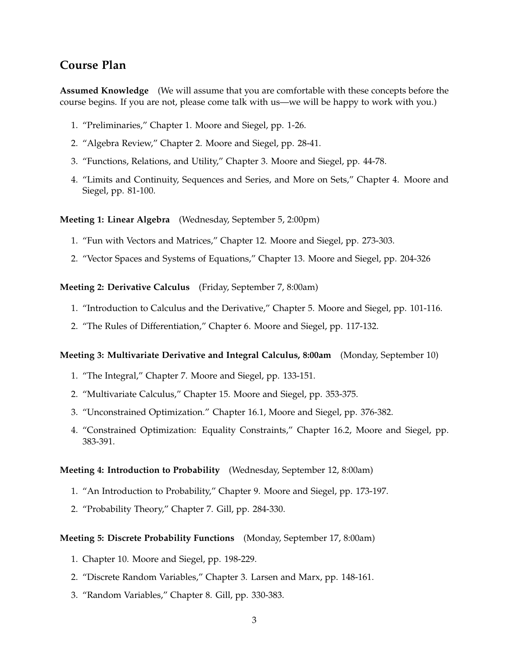## **Course Plan**

**Assumed Knowledge** (We will assume that you are comfortable with these concepts before the course begins. If you are not, please come talk with us—we will be happy to work with you.)

- 1. "Preliminaries," Chapter 1. Moore and Siegel, pp. 1-26.
- 2. "Algebra Review," Chapter 2. Moore and Siegel, pp. 28-41.
- 3. "Functions, Relations, and Utility," Chapter 3. Moore and Siegel, pp. 44-78.
- 4. "Limits and Continuity, Sequences and Series, and More on Sets," Chapter 4. Moore and Siegel, pp. 81-100.

**Meeting 1: Linear Algebra** (Wednesday, September 5, 2:00pm)

- 1. "Fun with Vectors and Matrices," Chapter 12. Moore and Siegel, pp. 273-303.
- 2. "Vector Spaces and Systems of Equations," Chapter 13. Moore and Siegel, pp. 204-326

**Meeting 2: Derivative Calculus** (Friday, September 7, 8:00am)

- 1. "Introduction to Calculus and the Derivative," Chapter 5. Moore and Siegel, pp. 101-116.
- 2. "The Rules of Differentiation," Chapter 6. Moore and Siegel, pp. 117-132.

#### **Meeting 3: Multivariate Derivative and Integral Calculus, 8:00am** (Monday, September 10)

- 1. "The Integral," Chapter 7. Moore and Siegel, pp. 133-151.
- 2. "Multivariate Calculus," Chapter 15. Moore and Siegel, pp. 353-375.
- 3. "Unconstrained Optimization." Chapter 16.1, Moore and Siegel, pp. 376-382.
- 4. "Constrained Optimization: Equality Constraints," Chapter 16.2, Moore and Siegel, pp. 383-391.

#### **Meeting 4: Introduction to Probability** (Wednesday, September 12, 8:00am)

- 1. "An Introduction to Probability," Chapter 9. Moore and Siegel, pp. 173-197.
- 2. "Probability Theory," Chapter 7. Gill, pp. 284-330.

#### **Meeting 5: Discrete Probability Functions** (Monday, September 17, 8:00am)

- 1. Chapter 10. Moore and Siegel, pp. 198-229.
- 2. "Discrete Random Variables," Chapter 3. Larsen and Marx, pp. 148-161.
- 3. "Random Variables," Chapter 8. Gill, pp. 330-383.